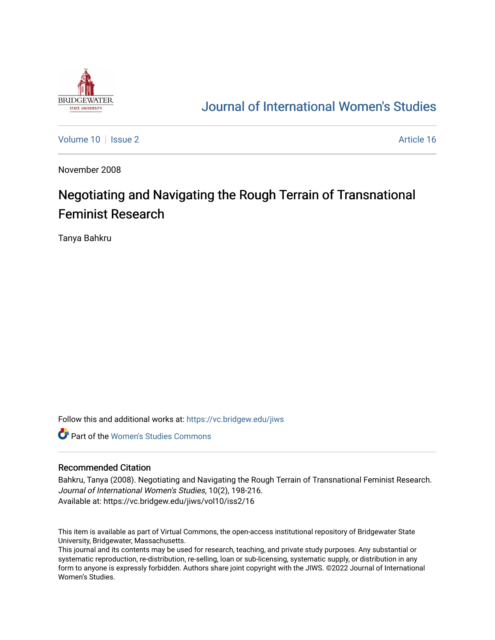

## [Journal of International Women's Studies](https://vc.bridgew.edu/jiws)

[Volume 10](https://vc.bridgew.edu/jiws/vol10) | [Issue 2](https://vc.bridgew.edu/jiws/vol10/iss2) Article 16

November 2008

# Negotiating and Navigating the Rough Terrain of Transnational Feminist Research

Tanya Bahkru

Follow this and additional works at: [https://vc.bridgew.edu/jiws](https://vc.bridgew.edu/jiws?utm_source=vc.bridgew.edu%2Fjiws%2Fvol10%2Fiss2%2F16&utm_medium=PDF&utm_campaign=PDFCoverPages)

**C** Part of the Women's Studies Commons

#### Recommended Citation

Bahkru, Tanya (2008). Negotiating and Navigating the Rough Terrain of Transnational Feminist Research. Journal of International Women's Studies, 10(2), 198-216. Available at: https://vc.bridgew.edu/jiws/vol10/iss2/16

This item is available as part of Virtual Commons, the open-access institutional repository of Bridgewater State University, Bridgewater, Massachusetts.

This journal and its contents may be used for research, teaching, and private study purposes. Any substantial or systematic reproduction, re-distribution, re-selling, loan or sub-licensing, systematic supply, or distribution in any form to anyone is expressly forbidden. Authors share joint copyright with the JIWS. ©2022 Journal of International Women's Studies.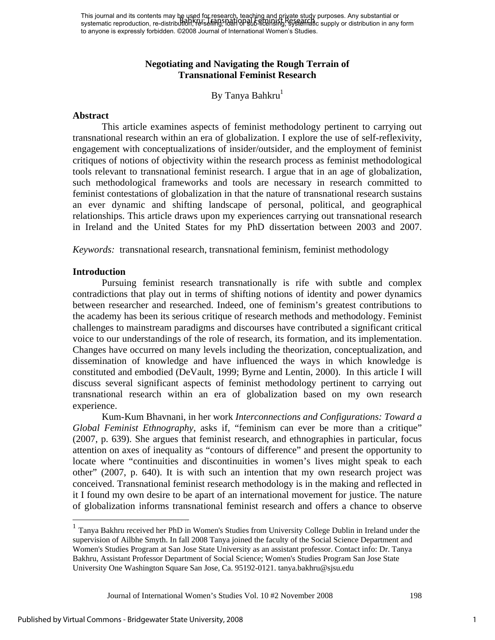## **Negotiating and Navigating the Rough Terrain of Transnational Feminist Research**

## By Tanya Bahkru<sup>1</sup>

#### **Abstract**

This article examines aspects of feminist methodology pertinent to carrying out transnational research within an era of globalization. I explore the use of self-reflexivity, engagement with conceptualizations of insider/outsider, and the employment of feminist critiques of notions of objectivity within the research process as feminist methodological tools relevant to transnational feminist research. I argue that in an age of globalization, such methodological frameworks and tools are necessary in research committed to feminist contestations of globalization in that the nature of transnational research sustains an ever dynamic and shifting landscape of personal, political, and geographical relationships. This article draws upon my experiences carrying out transnational research in Ireland and the United States for my PhD dissertation between 2003 and 2007.

*Keywords:* transnational research, transnational feminism, feminist methodology

#### **Introduction**

Pursuing feminist research transnationally is rife with subtle and complex contradictions that play out in terms of shifting notions of identity and power dynamics between researcher and researched. Indeed, one of feminism's greatest contributions to the academy has been its serious critique of research methods and methodology. Feminist challenges to mainstream paradigms and discourses have contributed a significant critical voice to our understandings of the role of research, its formation, and its implementation. Changes have occurred on many levels including the theorization, conceptualization, and dissemination of knowledge and have influenced the ways in which knowledge is constituted and embodied (DeVault, 1999; Byrne and Lentin, 2000). In this article I will discuss several significant aspects of feminist methodology pertinent to carrying out transnational research within an era of globalization based on my own research experience.

Kum-Kum Bhavnani, in her work *Interconnections and Configurations: Toward a Global Feminist Ethnography,* asks if, "feminism can ever be more than a critique" (2007, p. 639). She argues that feminist research, and ethnographies in particular, focus attention on axes of inequality as "contours of difference" and present the opportunity to locate where "continuities and discontinuities in women's lives might speak to each other" (2007, p. 640). It is with such an intention that my own research project was conceived. Transnational feminist research methodology is in the making and reflected in it I found my own desire to be apart of an international movement for justice. The nature of globalization informs transnational feminist research and offers a chance to observe

<sup>&</sup>lt;sup>1</sup> Tanya Bakhru received her PhD in Women's Studies from University College Dublin in Ireland under the supervision of Ailbhe Smyth. In fall 2008 Tanya joined the faculty of the Social Science Department and Women's Studies Program at San Jose State University as an assistant professor. Contact info: Dr. Tanya Bakhru, Assistant Professor Department of Social Science; Women's Studies Program San Jose State University One Washington Square San Jose, Ca. 95192-0121. tanya.bakhru@sjsu.edu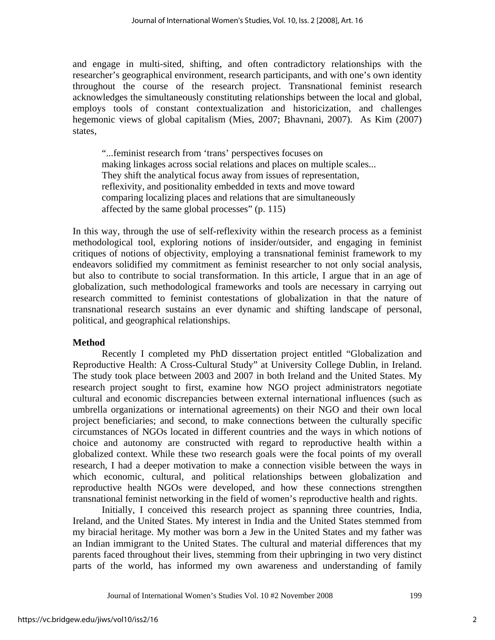and engage in multi-sited, shifting, and often contradictory relationships with the researcher's geographical environment, research participants, and with one's own identity throughout the course of the research project. Transnational feminist research acknowledges the simultaneously constituting relationships between the local and global, employs tools of constant contextualization and historicization, and challenges hegemonic views of global capitalism (Mies, 2007; Bhavnani, 2007). As Kim (2007) states,

"...feminist research from 'trans' perspectives focuses on making linkages across social relations and places on multiple scales... They shift the analytical focus away from issues of representation, reflexivity, and positionality embedded in texts and move toward comparing localizing places and relations that are simultaneously affected by the same global processes" (p. 115)

In this way, through the use of self-reflexivity within the research process as a feminist methodological tool, exploring notions of insider/outsider, and engaging in feminist critiques of notions of objectivity, employing a transnational feminist framework to my endeavors solidified my commitment as feminist researcher to not only social analysis, but also to contribute to social transformation. In this article, I argue that in an age of globalization, such methodological frameworks and tools are necessary in carrying out research committed to feminist contestations of globalization in that the nature of transnational research sustains an ever dynamic and shifting landscape of personal, political, and geographical relationships.

## **Method**

 Recently I completed my PhD dissertation project entitled "Globalization and Reproductive Health: A Cross-Cultural Study" at University College Dublin, in Ireland. The study took place between 2003 and 2007 in both Ireland and the United States. My research project sought to first, examine how NGO project administrators negotiate cultural and economic discrepancies between external international influences (such as umbrella organizations or international agreements) on their NGO and their own local project beneficiaries; and second, to make connections between the culturally specific circumstances of NGOs located in different countries and the ways in which notions of choice and autonomy are constructed with regard to reproductive health within a globalized context. While these two research goals were the focal points of my overall research, I had a deeper motivation to make a connection visible between the ways in which economic, cultural, and political relationships between globalization and reproductive health NGOs were developed, and how these connections strengthen transnational feminist networking in the field of women's reproductive health and rights.

Initially, I conceived this research project as spanning three countries, India, Ireland, and the United States. My interest in India and the United States stemmed from my biracial heritage. My mother was born a Jew in the United States and my father was an Indian immigrant to the United States. The cultural and material differences that my parents faced throughout their lives, stemming from their upbringing in two very distinct parts of the world, has informed my own awareness and understanding of family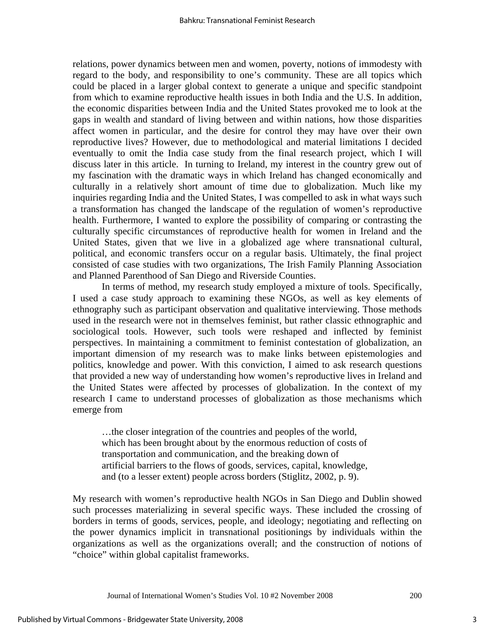relations, power dynamics between men and women, poverty, notions of immodesty with regard to the body, and responsibility to one's community. These are all topics which could be placed in a larger global context to generate a unique and specific standpoint from which to examine reproductive health issues in both India and the U.S. In addition, the economic disparities between India and the United States provoked me to look at the gaps in wealth and standard of living between and within nations, how those disparities affect women in particular, and the desire for control they may have over their own reproductive lives? However, due to methodological and material limitations I decided eventually to omit the India case study from the final research project, which I will discuss later in this article. In turning to Ireland, my interest in the country grew out of my fascination with the dramatic ways in which Ireland has changed economically and culturally in a relatively short amount of time due to globalization. Much like my inquiries regarding India and the United States, I was compelled to ask in what ways such a transformation has changed the landscape of the regulation of women's reproductive health. Furthermore, I wanted to explore the possibility of comparing or contrasting the culturally specific circumstances of reproductive health for women in Ireland and the United States, given that we live in a globalized age where transnational cultural, political, and economic transfers occur on a regular basis. Ultimately, the final project consisted of case studies with two organizations, The Irish Family Planning Association and Planned Parenthood of San Diego and Riverside Counties.

In terms of method, my research study employed a mixture of tools. Specifically, I used a case study approach to examining these NGOs, as well as key elements of ethnography such as participant observation and qualitative interviewing. Those methods used in the research were not in themselves feminist, but rather classic ethnographic and sociological tools. However, such tools were reshaped and inflected by feminist perspectives. In maintaining a commitment to feminist contestation of globalization, an important dimension of my research was to make links between epistemologies and politics, knowledge and power. With this conviction, I aimed to ask research questions that provided a new way of understanding how women's reproductive lives in Ireland and the United States were affected by processes of globalization. In the context of my research I came to understand processes of globalization as those mechanisms which emerge from

…the closer integration of the countries and peoples of the world, which has been brought about by the enormous reduction of costs of transportation and communication, and the breaking down of artificial barriers to the flows of goods, services, capital, knowledge, and (to a lesser extent) people across borders (Stiglitz, 2002, p. 9).

My research with women's reproductive health NGOs in San Diego and Dublin showed such processes materializing in several specific ways. These included the crossing of borders in terms of goods, services, people, and ideology; negotiating and reflecting on the power dynamics implicit in transnational positionings by individuals within the organizations as well as the organizations overall; and the construction of notions of "choice" within global capitalist frameworks.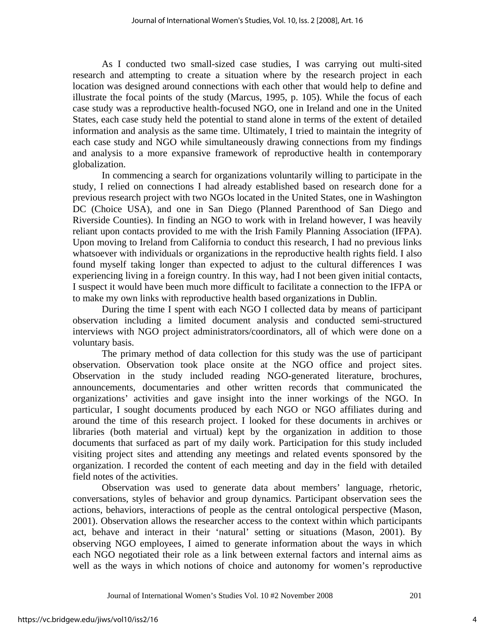As I conducted two small-sized case studies, I was carrying out multi-sited research and attempting to create a situation where by the research project in each location was designed around connections with each other that would help to define and illustrate the focal points of the study (Marcus, 1995, p. 105). While the focus of each case study was a reproductive health-focused NGO, one in Ireland and one in the United States, each case study held the potential to stand alone in terms of the extent of detailed information and analysis as the same time. Ultimately, I tried to maintain the integrity of each case study and NGO while simultaneously drawing connections from my findings and analysis to a more expansive framework of reproductive health in contemporary globalization.

 In commencing a search for organizations voluntarily willing to participate in the study, I relied on connections I had already established based on research done for a previous research project with two NGOs located in the United States, one in Washington DC (Choice USA), and one in San Diego (Planned Parenthood of San Diego and Riverside Counties). In finding an NGO to work with in Ireland however, I was heavily reliant upon contacts provided to me with the Irish Family Planning Association (IFPA). Upon moving to Ireland from California to conduct this research, I had no previous links whatsoever with individuals or organizations in the reproductive health rights field. I also found myself taking longer than expected to adjust to the cultural differences I was experiencing living in a foreign country. In this way, had I not been given initial contacts, I suspect it would have been much more difficult to facilitate a connection to the IFPA or to make my own links with reproductive health based organizations in Dublin.

 During the time I spent with each NGO I collected data by means of participant observation including a limited document analysis and conducted semi-structured interviews with NGO project administrators/coordinators, all of which were done on a voluntary basis.

 The primary method of data collection for this study was the use of participant observation. Observation took place onsite at the NGO office and project sites. Observation in the study included reading NGO-generated literature, brochures, announcements, documentaries and other written records that communicated the organizations' activities and gave insight into the inner workings of the NGO. In particular, I sought documents produced by each NGO or NGO affiliates during and around the time of this research project. I looked for these documents in archives or libraries (both material and virtual) kept by the organization in addition to those documents that surfaced as part of my daily work. Participation for this study included visiting project sites and attending any meetings and related events sponsored by the organization. I recorded the content of each meeting and day in the field with detailed field notes of the activities.

 Observation was used to generate data about members' language, rhetoric, conversations, styles of behavior and group dynamics. Participant observation sees the actions, behaviors, interactions of people as the central ontological perspective (Mason, 2001). Observation allows the researcher access to the context within which participants act, behave and interact in their 'natural' setting or situations (Mason, 2001). By observing NGO employees, I aimed to generate information about the ways in which each NGO negotiated their role as a link between external factors and internal aims as well as the ways in which notions of choice and autonomy for women's reproductive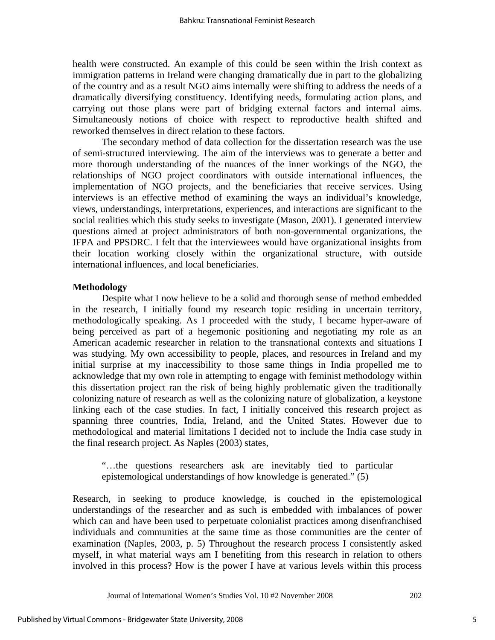health were constructed. An example of this could be seen within the Irish context as immigration patterns in Ireland were changing dramatically due in part to the globalizing of the country and as a result NGO aims internally were shifting to address the needs of a dramatically diversifying constituency. Identifying needs, formulating action plans, and carrying out those plans were part of bridging external factors and internal aims. Simultaneously notions of choice with respect to reproductive health shifted and reworked themselves in direct relation to these factors.

 The secondary method of data collection for the dissertation research was the use of semi-structured interviewing. The aim of the interviews was to generate a better and more thorough understanding of the nuances of the inner workings of the NGO, the relationships of NGO project coordinators with outside international influences, the implementation of NGO projects, and the beneficiaries that receive services. Using interviews is an effective method of examining the ways an individual's knowledge, views, understandings, interpretations, experiences, and interactions are significant to the social realities which this study seeks to investigate (Mason, 2001). I generated interview questions aimed at project administrators of both non-governmental organizations, the IFPA and PPSDRC. I felt that the interviewees would have organizational insights from their location working closely within the organizational structure, with outside international influences, and local beneficiaries.

#### **Methodology**

 Despite what I now believe to be a solid and thorough sense of method embedded in the research, I initially found my research topic residing in uncertain territory, methodologically speaking. As I proceeded with the study, I became hyper-aware of being perceived as part of a hegemonic positioning and negotiating my role as an American academic researcher in relation to the transnational contexts and situations I was studying. My own accessibility to people, places, and resources in Ireland and my initial surprise at my inaccessibility to those same things in India propelled me to acknowledge that my own role in attempting to engage with feminist methodology within this dissertation project ran the risk of being highly problematic given the traditionally colonizing nature of research as well as the colonizing nature of globalization, a keystone linking each of the case studies. In fact, I initially conceived this research project as spanning three countries, India, Ireland, and the United States. However due to methodological and material limitations I decided not to include the India case study in the final research project. As Naples (2003) states,

"…the questions researchers ask are inevitably tied to particular epistemological understandings of how knowledge is generated." (5)

Research, in seeking to produce knowledge, is couched in the epistemological understandings of the researcher and as such is embedded with imbalances of power which can and have been used to perpetuate colonialist practices among disenfranchised individuals and communities at the same time as those communities are the center of examination (Naples, 2003, p. 5) Throughout the research process I consistently asked myself, in what material ways am I benefiting from this research in relation to others involved in this process? How is the power I have at various levels within this process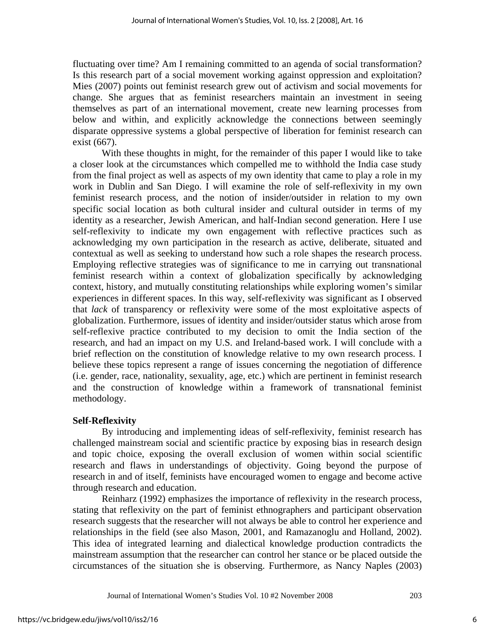fluctuating over time? Am I remaining committed to an agenda of social transformation? Is this research part of a social movement working against oppression and exploitation? Mies (2007) points out feminist research grew out of activism and social movements for change. She argues that as feminist researchers maintain an investment in seeing themselves as part of an international movement, create new learning processes from below and within, and explicitly acknowledge the connections between seemingly disparate oppressive systems a global perspective of liberation for feminist research can exist (667).

 With these thoughts in might, for the remainder of this paper I would like to take a closer look at the circumstances which compelled me to withhold the India case study from the final project as well as aspects of my own identity that came to play a role in my work in Dublin and San Diego. I will examine the role of self-reflexivity in my own feminist research process, and the notion of insider/outsider in relation to my own specific social location as both cultural insider and cultural outsider in terms of my identity as a researcher, Jewish American, and half-Indian second generation. Here I use self-reflexivity to indicate my own engagement with reflective practices such as acknowledging my own participation in the research as active, deliberate, situated and contextual as well as seeking to understand how such a role shapes the research process. Employing reflective strategies was of significance to me in carrying out transnational feminist research within a context of globalization specifically by acknowledging context, history, and mutually constituting relationships while exploring women's similar experiences in different spaces. In this way, self-reflexivity was significant as I observed that *lack* of transparency or reflexivity were some of the most exploitative aspects of globalization. Furthermore, issues of identity and insider/outsider status which arose from self-reflexive practice contributed to my decision to omit the India section of the research, and had an impact on my U.S. and Ireland-based work. I will conclude with a brief reflection on the constitution of knowledge relative to my own research process. I believe these topics represent a range of issues concerning the negotiation of difference (i.e. gender, race, nationality, sexuality, age, etc.) which are pertinent in feminist research and the construction of knowledge within a framework of transnational feminist methodology.

## **Self-Reflexivity**

 By introducing and implementing ideas of self-reflexivity, feminist research has challenged mainstream social and scientific practice by exposing bias in research design and topic choice, exposing the overall exclusion of women within social scientific research and flaws in understandings of objectivity. Going beyond the purpose of research in and of itself, feminists have encouraged women to engage and become active through research and education.

 Reinharz (1992) emphasizes the importance of reflexivity in the research process, stating that reflexivity on the part of feminist ethnographers and participant observation research suggests that the researcher will not always be able to control her experience and relationships in the field (see also Mason, 2001, and Ramazanoglu and Holland, 2002). This idea of integrated learning and dialectical knowledge production contradicts the mainstream assumption that the researcher can control her stance or be placed outside the circumstances of the situation she is observing. Furthermore, as Nancy Naples (2003)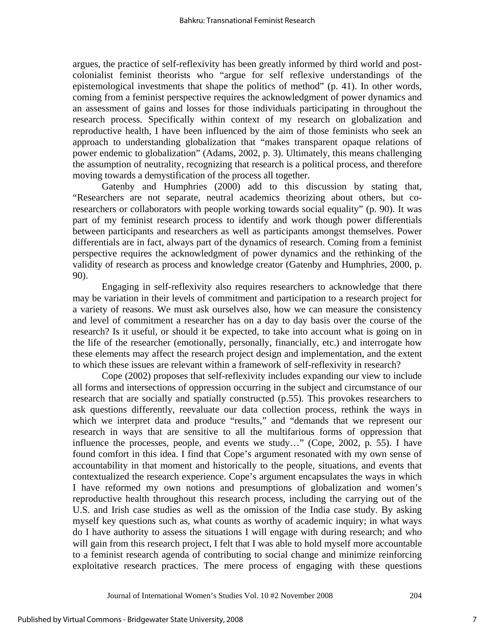argues, the practice of self-reflexivity has been greatly informed by third world and postcolonialist feminist theorists who "argue for self reflexive understandings of the epistemological investments that shape the politics of method" (p. 41). In other words, coming from a feminist perspective requires the acknowledgment of power dynamics and an assessment of gains and losses for those individuals participating in throughout the research process. Specifically within context of my research on globalization and reproductive health, I have been influenced by the aim of those feminists who seek an approach to understanding globalization that "makes transparent opaque relations of power endemic to globalization" (Adams, 2002, p. 3). Ultimately, this means challenging the assumption of neutrality, recognizing that research is a political process, and therefore moving towards a demystification of the process all together.

 Gatenby and Humphries (2000) add to this discussion by stating that, "Researchers are not separate, neutral academics theorizing about others, but coresearchers or collaborators with people working towards social equality" (p. 90). It was part of my feminist research process to identify and work though power differentials between participants and researchers as well as participants amongst themselves. Power differentials are in fact, always part of the dynamics of research. Coming from a feminist perspective requires the acknowledgment of power dynamics and the rethinking of the validity of research as process and knowledge creator (Gatenby and Humphries, 2000, p. 90).

 Engaging in self-reflexivity also requires researchers to acknowledge that there may be variation in their levels of commitment and participation to a research project for a variety of reasons. We must ask ourselves also, how we can measure the consistency and level of commitment a researcher has on a day to day basis over the course of the research? Is it useful, or should it be expected, to take into account what is going on in the life of the researcher (emotionally, personally, financially, etc.) and interrogate how these elements may affect the research project design and implementation, and the extent to which these issues are relevant within a framework of self-reflexivity in research?

 Cope (2002) proposes that self-reflexivity includes expanding our view to include all forms and intersections of oppression occurring in the subject and circumstance of our research that are socially and spatially constructed (p.55). This provokes researchers to ask questions differently, reevaluate our data collection process, rethink the ways in which we interpret data and produce "results," and "demands that we represent our research in ways that are sensitive to all the multifarious forms of oppression that influence the processes, people, and events we study…" (Cope, 2002, p. 55). I have found comfort in this idea. I find that Cope's argument resonated with my own sense of accountability in that moment and historically to the people, situations, and events that contextualized the research experience. Cope's argument encapsulates the ways in which I have reformed my own notions and presumptions of globalization and women's reproductive health throughout this research process, including the carrying out of the U.S. and Irish case studies as well as the omission of the India case study. By asking myself key questions such as, what counts as worthy of academic inquiry; in what ways do I have authority to assess the situations I will engage with during research; and who will gain from this research project, I felt that I was able to hold myself more accountable to a feminist research agenda of contributing to social change and minimize reinforcing exploitative research practices. The mere process of engaging with these questions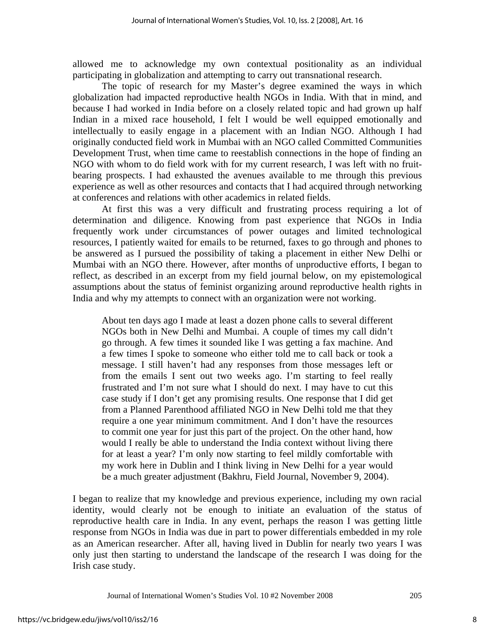allowed me to acknowledge my own contextual positionality as an individual participating in globalization and attempting to carry out transnational research.

 The topic of research for my Master's degree examined the ways in which globalization had impacted reproductive health NGOs in India. With that in mind, and because I had worked in India before on a closely related topic and had grown up half Indian in a mixed race household, I felt I would be well equipped emotionally and intellectually to easily engage in a placement with an Indian NGO. Although I had originally conducted field work in Mumbai with an NGO called Committed Communities Development Trust, when time came to reestablish connections in the hope of finding an NGO with whom to do field work with for my current research, I was left with no fruitbearing prospects. I had exhausted the avenues available to me through this previous experience as well as other resources and contacts that I had acquired through networking at conferences and relations with other academics in related fields.

 At first this was a very difficult and frustrating process requiring a lot of determination and diligence. Knowing from past experience that NGOs in India frequently work under circumstances of power outages and limited technological resources, I patiently waited for emails to be returned, faxes to go through and phones to be answered as I pursued the possibility of taking a placement in either New Delhi or Mumbai with an NGO there. However, after months of unproductive efforts, I began to reflect, as described in an excerpt from my field journal below, on my epistemological assumptions about the status of feminist organizing around reproductive health rights in India and why my attempts to connect with an organization were not working.

About ten days ago I made at least a dozen phone calls to several different NGOs both in New Delhi and Mumbai. A couple of times my call didn't go through. A few times it sounded like I was getting a fax machine. And a few times I spoke to someone who either told me to call back or took a message. I still haven't had any responses from those messages left or from the emails I sent out two weeks ago. I'm starting to feel really frustrated and I'm not sure what I should do next. I may have to cut this case study if I don't get any promising results. One response that I did get from a Planned Parenthood affiliated NGO in New Delhi told me that they require a one year minimum commitment. And I don't have the resources to commit one year for just this part of the project. On the other hand, how would I really be able to understand the India context without living there for at least a year? I'm only now starting to feel mildly comfortable with my work here in Dublin and I think living in New Delhi for a year would be a much greater adjustment (Bakhru, Field Journal, November 9, 2004).

I began to realize that my knowledge and previous experience, including my own racial identity, would clearly not be enough to initiate an evaluation of the status of reproductive health care in India. In any event, perhaps the reason I was getting little response from NGOs in India was due in part to power differentials embedded in my role as an American researcher. After all, having lived in Dublin for nearly two years I was only just then starting to understand the landscape of the research I was doing for the Irish case study.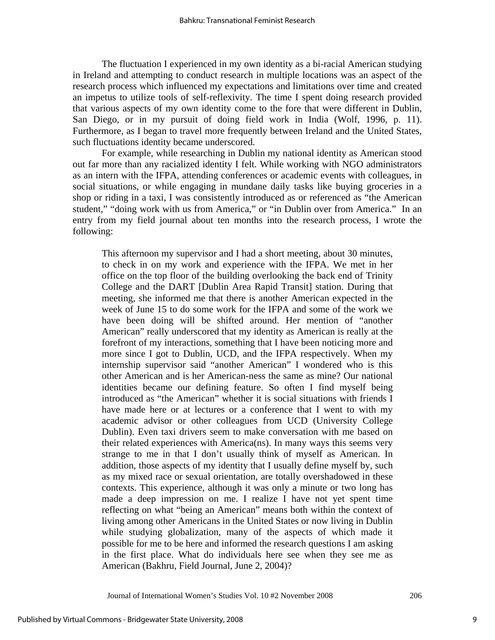The fluctuation I experienced in my own identity as a bi-racial American studying in Ireland and attempting to conduct research in multiple locations was an aspect of the research process which influenced my expectations and limitations over time and created an impetus to utilize tools of self-reflexivity. The time I spent doing research provided that various aspects of my own identity come to the fore that were different in Dublin, San Diego, or in my pursuit of doing field work in India (Wolf, 1996, p. 11). Furthermore, as I began to travel more frequently between Ireland and the United States, such fluctuations identity became underscored.

 For example, while researching in Dublin my national identity as American stood out far more than any racialized identity I felt. While working with NGO administrators as an intern with the IFPA, attending conferences or academic events with colleagues, in social situations, or while engaging in mundane daily tasks like buying groceries in a shop or riding in a taxi, I was consistently introduced as or referenced as "the American student," "doing work with us from America," or "in Dublin over from America." In an entry from my field journal about ten months into the research process, I wrote the following:

This afternoon my supervisor and I had a short meeting, about 30 minutes, to check in on my work and experience with the IFPA. We met in her office on the top floor of the building overlooking the back end of Trinity College and the DART [Dublin Area Rapid Transit] station. During that meeting, she informed me that there is another American expected in the week of June 15 to do some work for the IFPA and some of the work we have been doing will be shifted around. Her mention of "another American" really underscored that my identity as American is really at the forefront of my interactions, something that I have been noticing more and more since I got to Dublin, UCD, and the IFPA respectively. When my internship supervisor said "another American" I wondered who is this other American and is her American-ness the same as mine? Our national identities became our defining feature. So often I find myself being introduced as "the American" whether it is social situations with friends I have made here or at lectures or a conference that I went to with my academic advisor or other colleagues from UCD (University College Dublin). Even taxi drivers seem to make conversation with me based on their related experiences with America(ns). In many ways this seems very strange to me in that I don't usually think of myself as American. In addition, those aspects of my identity that I usually define myself by, such as my mixed race or sexual orientation, are totally overshadowed in these contexts. This experience, although it was only a minute or two long has made a deep impression on me. I realize I have not yet spent time reflecting on what "being an American" means both within the context of living among other Americans in the United States or now living in Dublin while studying globalization, many of the aspects of which made it possible for me to be here and informed the research questions I am asking in the first place. What do individuals here see when they see me as American (Bakhru, Field Journal, June 2, 2004)?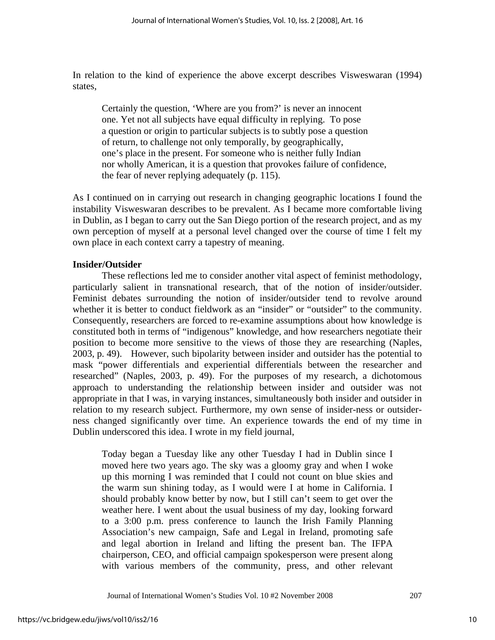In relation to the kind of experience the above excerpt describes Visweswaran (1994) states,

Certainly the question, 'Where are you from?' is never an innocent one. Yet not all subjects have equal difficulty in replying. To pose a question or origin to particular subjects is to subtly pose a question of return, to challenge not only temporally, by geographically, one's place in the present. For someone who is neither fully Indian nor wholly American, it is a question that provokes failure of confidence, the fear of never replying adequately (p. 115).

As I continued on in carrying out research in changing geographic locations I found the instability Visweswaran describes to be prevalent. As I became more comfortable living in Dublin, as I began to carry out the San Diego portion of the research project, and as my own perception of myself at a personal level changed over the course of time I felt my own place in each context carry a tapestry of meaning.

## **Insider/Outsider**

 These reflections led me to consider another vital aspect of feminist methodology, particularly salient in transnational research, that of the notion of insider/outsider. Feminist debates surrounding the notion of insider/outsider tend to revolve around whether it is better to conduct fieldwork as an "insider" or "outsider" to the community. Consequently, researchers are forced to re-examine assumptions about how knowledge is constituted both in terms of "indigenous" knowledge, and how researchers negotiate their position to become more sensitive to the views of those they are researching (Naples, 2003, p. 49). However, such bipolarity between insider and outsider has the potential to mask "power differentials and experiential differentials between the researcher and researched" (Naples, 2003, p. 49). For the purposes of my research, a dichotomous approach to understanding the relationship between insider and outsider was not appropriate in that I was, in varying instances, simultaneously both insider and outsider in relation to my research subject. Furthermore, my own sense of insider-ness or outsiderness changed significantly over time. An experience towards the end of my time in Dublin underscored this idea. I wrote in my field journal,

Today began a Tuesday like any other Tuesday I had in Dublin since I moved here two years ago. The sky was a gloomy gray and when I woke up this morning I was reminded that I could not count on blue skies and the warm sun shining today, as I would were I at home in California. I should probably know better by now, but I still can't seem to get over the weather here. I went about the usual business of my day, looking forward to a 3:00 p.m. press conference to launch the Irish Family Planning Association's new campaign, Safe and Legal in Ireland, promoting safe and legal abortion in Ireland and lifting the present ban. The IFPA chairperson, CEO, and official campaign spokesperson were present along with various members of the community, press, and other relevant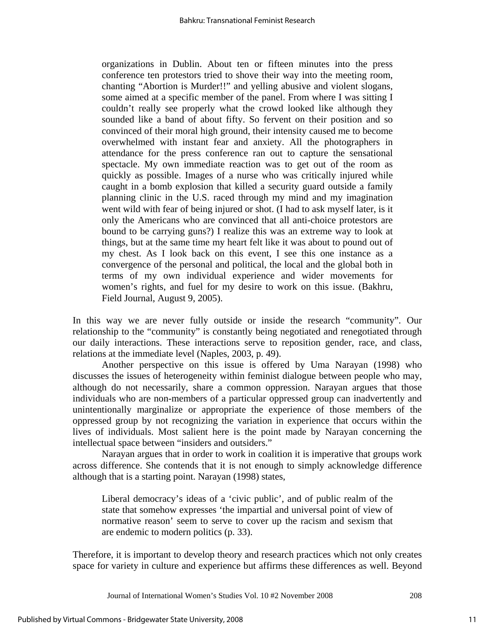organizations in Dublin. About ten or fifteen minutes into the press conference ten protestors tried to shove their way into the meeting room, chanting "Abortion is Murder!!" and yelling abusive and violent slogans, some aimed at a specific member of the panel. From where I was sitting I couldn't really see properly what the crowd looked like although they sounded like a band of about fifty. So fervent on their position and so convinced of their moral high ground, their intensity caused me to become overwhelmed with instant fear and anxiety. All the photographers in attendance for the press conference ran out to capture the sensational spectacle. My own immediate reaction was to get out of the room as quickly as possible. Images of a nurse who was critically injured while caught in a bomb explosion that killed a security guard outside a family planning clinic in the U.S. raced through my mind and my imagination went wild with fear of being injured or shot. (I had to ask myself later, is it only the Americans who are convinced that all anti-choice protestors are bound to be carrying guns?) I realize this was an extreme way to look at things, but at the same time my heart felt like it was about to pound out of my chest. As I look back on this event, I see this one instance as a convergence of the personal and political, the local and the global both in terms of my own individual experience and wider movements for women's rights, and fuel for my desire to work on this issue. (Bakhru, Field Journal, August 9, 2005).

In this way we are never fully outside or inside the research "community". Our relationship to the "community" is constantly being negotiated and renegotiated through our daily interactions. These interactions serve to reposition gender, race, and class, relations at the immediate level (Naples, 2003, p. 49).

 Another perspective on this issue is offered by Uma Narayan (1998) who discusses the issues of heterogeneity within feminist dialogue between people who may, although do not necessarily, share a common oppression. Narayan argues that those individuals who are non-members of a particular oppressed group can inadvertently and unintentionally marginalize or appropriate the experience of those members of the oppressed group by not recognizing the variation in experience that occurs within the lives of individuals. Most salient here is the point made by Narayan concerning the intellectual space between "insiders and outsiders."

Narayan argues that in order to work in coalition it is imperative that groups work across difference. She contends that it is not enough to simply acknowledge difference although that is a starting point. Narayan (1998) states,

Liberal democracy's ideas of a 'civic public', and of public realm of the state that somehow expresses 'the impartial and universal point of view of normative reason' seem to serve to cover up the racism and sexism that are endemic to modern politics (p. 33).

Therefore, it is important to develop theory and research practices which not only creates space for variety in culture and experience but affirms these differences as well. Beyond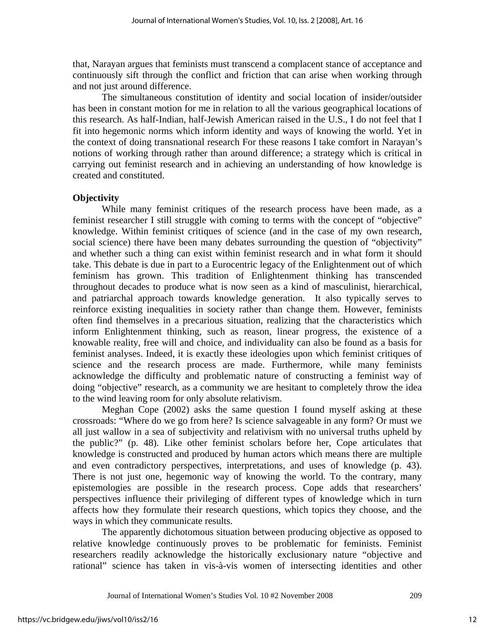that, Narayan argues that feminists must transcend a complacent stance of acceptance and continuously sift through the conflict and friction that can arise when working through and not just around difference.

The simultaneous constitution of identity and social location of insider/outsider has been in constant motion for me in relation to all the various geographical locations of this research. As half-Indian, half-Jewish American raised in the U.S., I do not feel that I fit into hegemonic norms which inform identity and ways of knowing the world. Yet in the context of doing transnational research For these reasons I take comfort in Narayan's notions of working through rather than around difference; a strategy which is critical in carrying out feminist research and in achieving an understanding of how knowledge is created and constituted.

## **Objectivity**

 While many feminist critiques of the research process have been made, as a feminist researcher I still struggle with coming to terms with the concept of "objective" knowledge. Within feminist critiques of science (and in the case of my own research, social science) there have been many debates surrounding the question of "objectivity" and whether such a thing can exist within feminist research and in what form it should take. This debate is due in part to a Eurocentric legacy of the Enlightenment out of which feminism has grown. This tradition of Enlightenment thinking has transcended throughout decades to produce what is now seen as a kind of masculinist, hierarchical, and patriarchal approach towards knowledge generation. It also typically serves to reinforce existing inequalities in society rather than change them. However, feminists often find themselves in a precarious situation, realizing that the characteristics which inform Enlightenment thinking, such as reason, linear progress, the existence of a knowable reality, free will and choice, and individuality can also be found as a basis for feminist analyses. Indeed, it is exactly these ideologies upon which feminist critiques of science and the research process are made. Furthermore, while many feminists acknowledge the difficulty and problematic nature of constructing a feminist way of doing "objective" research, as a community we are hesitant to completely throw the idea to the wind leaving room for only absolute relativism.

 Meghan Cope (2002) asks the same question I found myself asking at these crossroads: "Where do we go from here? Is science salvageable in any form? Or must we all just wallow in a sea of subjectivity and relativism with no universal truths upheld by the public?" (p. 48). Like other feminist scholars before her, Cope articulates that knowledge is constructed and produced by human actors which means there are multiple and even contradictory perspectives, interpretations, and uses of knowledge (p. 43). There is not just one, hegemonic way of knowing the world. To the contrary, many epistemologies are possible in the research process. Cope adds that researchers' perspectives influence their privileging of different types of knowledge which in turn affects how they formulate their research questions, which topics they choose, and the ways in which they communicate results.

 The apparently dichotomous situation between producing objective as opposed to relative knowledge continuously proves to be problematic for feminists. Feminist researchers readily acknowledge the historically exclusionary nature "objective and rational" science has taken in vis-à-vis women of intersecting identities and other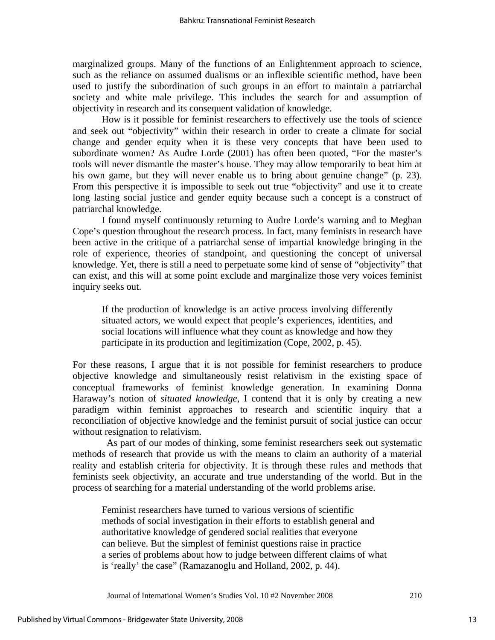marginalized groups. Many of the functions of an Enlightenment approach to science, such as the reliance on assumed dualisms or an inflexible scientific method, have been used to justify the subordination of such groups in an effort to maintain a patriarchal society and white male privilege. This includes the search for and assumption of objectivity in research and its consequent validation of knowledge.

 How is it possible for feminist researchers to effectively use the tools of science and seek out "objectivity" within their research in order to create a climate for social change and gender equity when it is these very concepts that have been used to subordinate women? As Audre Lorde (2001) has often been quoted, "For the master's tools will never dismantle the master's house. They may allow temporarily to beat him at his own game, but they will never enable us to bring about genuine change" (p. 23). From this perspective it is impossible to seek out true "objectivity" and use it to create long lasting social justice and gender equity because such a concept is a construct of patriarchal knowledge.

 I found myself continuously returning to Audre Lorde's warning and to Meghan Cope's question throughout the research process. In fact, many feminists in research have been active in the critique of a patriarchal sense of impartial knowledge bringing in the role of experience, theories of standpoint, and questioning the concept of universal knowledge. Yet, there is still a need to perpetuate some kind of sense of "objectivity" that can exist, and this will at some point exclude and marginalize those very voices feminist inquiry seeks out.

If the production of knowledge is an active process involving differently situated actors, we would expect that people's experiences, identities, and social locations will influence what they count as knowledge and how they participate in its production and legitimization (Cope, 2002, p. 45).

For these reasons, I argue that it is not possible for feminist researchers to produce objective knowledge and simultaneously resist relativism in the existing space of conceptual frameworks of feminist knowledge generation. In examining Donna Haraway's notion of *situated knowledge*, I contend that it is only by creating a new paradigm within feminist approaches to research and scientific inquiry that a reconciliation of objective knowledge and the feminist pursuit of social justice can occur without resignation to relativism.

 As part of our modes of thinking, some feminist researchers seek out systematic methods of research that provide us with the means to claim an authority of a material reality and establish criteria for objectivity. It is through these rules and methods that feminists seek objectivity, an accurate and true understanding of the world. But in the process of searching for a material understanding of the world problems arise.

 Feminist researchers have turned to various versions of scientific methods of social investigation in their efforts to establish general and authoritative knowledge of gendered social realities that everyone can believe. But the simplest of feminist questions raise in practice a series of problems about how to judge between different claims of what is 'really' the case" (Ramazanoglu and Holland, 2002, p. 44).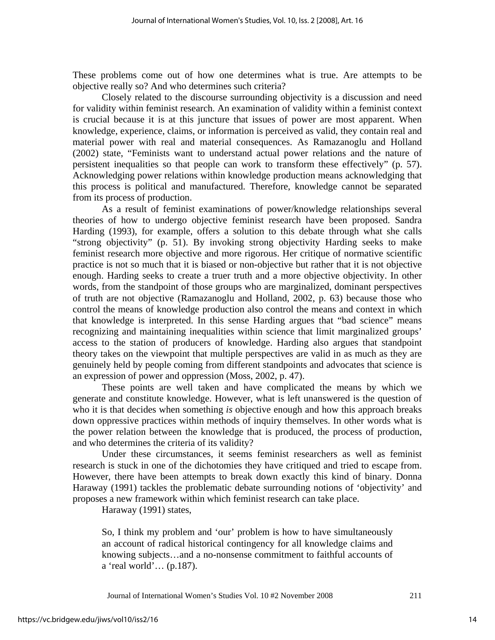These problems come out of how one determines what is true. Are attempts to be objective really so? And who determines such criteria?

 Closely related to the discourse surrounding objectivity is a discussion and need for validity within feminist research. An examination of validity within a feminist context is crucial because it is at this juncture that issues of power are most apparent. When knowledge, experience, claims, or information is perceived as valid, they contain real and material power with real and material consequences. As Ramazanoglu and Holland (2002) state, "Feminists want to understand actual power relations and the nature of persistent inequalities so that people can work to transform these effectively" (p. 57). Acknowledging power relations within knowledge production means acknowledging that this process is political and manufactured. Therefore, knowledge cannot be separated from its process of production.

 As a result of feminist examinations of power/knowledge relationships several theories of how to undergo objective feminist research have been proposed. Sandra Harding (1993), for example, offers a solution to this debate through what she calls "strong objectivity" (p. 51). By invoking strong objectivity Harding seeks to make feminist research more objective and more rigorous. Her critique of normative scientific practice is not so much that it is biased or non-objective but rather that it is not objective enough. Harding seeks to create a truer truth and a more objective objectivity. In other words, from the standpoint of those groups who are marginalized, dominant perspectives of truth are not objective (Ramazanoglu and Holland, 2002, p. 63) because those who control the means of knowledge production also control the means and context in which that knowledge is interpreted. In this sense Harding argues that "bad science" means recognizing and maintaining inequalities within science that limit marginalized groups' access to the station of producers of knowledge. Harding also argues that standpoint theory takes on the viewpoint that multiple perspectives are valid in as much as they are genuinely held by people coming from different standpoints and advocates that science is an expression of power and oppression (Moss, 2002, p. 47).

 These points are well taken and have complicated the means by which we generate and constitute knowledge. However, what is left unanswered is the question of who it is that decides when something *is* objective enough and how this approach breaks down oppressive practices within methods of inquiry themselves. In other words what is the power relation between the knowledge that is produced, the process of production, and who determines the criteria of its validity?

 Under these circumstances, it seems feminist researchers as well as feminist research is stuck in one of the dichotomies they have critiqued and tried to escape from. However, there have been attempts to break down exactly this kind of binary. Donna Haraway (1991) tackles the problematic debate surrounding notions of 'objectivity' and proposes a new framework within which feminist research can take place.

Haraway (1991) states,

So, I think my problem and 'our' problem is how to have simultaneously an account of radical historical contingency for all knowledge claims and knowing subjects…and a no-nonsense commitment to faithful accounts of a 'real world'… (p.187).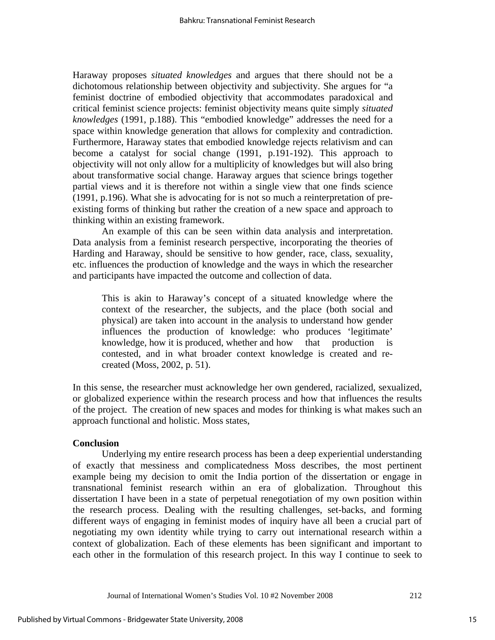Haraway proposes *situated knowledges* and argues that there should not be a dichotomous relationship between objectivity and subjectivity. She argues for "a feminist doctrine of embodied objectivity that accommodates paradoxical and critical feminist science projects: feminist objectivity means quite simply *situated knowledges* (1991, p.188). This "embodied knowledge" addresses the need for a space within knowledge generation that allows for complexity and contradiction. Furthermore, Haraway states that embodied knowledge rejects relativism and can become a catalyst for social change (1991, p.191-192). This approach to objectivity will not only allow for a multiplicity of knowledges but will also bring about transformative social change. Haraway argues that science brings together partial views and it is therefore not within a single view that one finds science (1991, p.196). What she is advocating for is not so much a reinterpretation of preexisting forms of thinking but rather the creation of a new space and approach to thinking within an existing framework.

 An example of this can be seen within data analysis and interpretation. Data analysis from a feminist research perspective, incorporating the theories of Harding and Haraway, should be sensitive to how gender, race, class, sexuality, etc. influences the production of knowledge and the ways in which the researcher and participants have impacted the outcome and collection of data.

This is akin to Haraway's concept of a situated knowledge where the context of the researcher, the subjects, and the place (both social and physical) are taken into account in the analysis to understand how gender influences the production of knowledge: who produces 'legitimate' knowledge, how it is produced, whether and how that production is contested, and in what broader context knowledge is created and recreated (Moss, 2002, p. 51).

In this sense, the researcher must acknowledge her own gendered, racialized, sexualized, or globalized experience within the research process and how that influences the results of the project. The creation of new spaces and modes for thinking is what makes such an approach functional and holistic. Moss states,

#### **Conclusion**

 Underlying my entire research process has been a deep experiential understanding of exactly that messiness and complicatedness Moss describes, the most pertinent example being my decision to omit the India portion of the dissertation or engage in transnational feminist research within an era of globalization. Throughout this dissertation I have been in a state of perpetual renegotiation of my own position within the research process. Dealing with the resulting challenges, set-backs, and forming different ways of engaging in feminist modes of inquiry have all been a crucial part of negotiating my own identity while trying to carry out international research within a context of globalization. Each of these elements has been significant and important to each other in the formulation of this research project. In this way I continue to seek to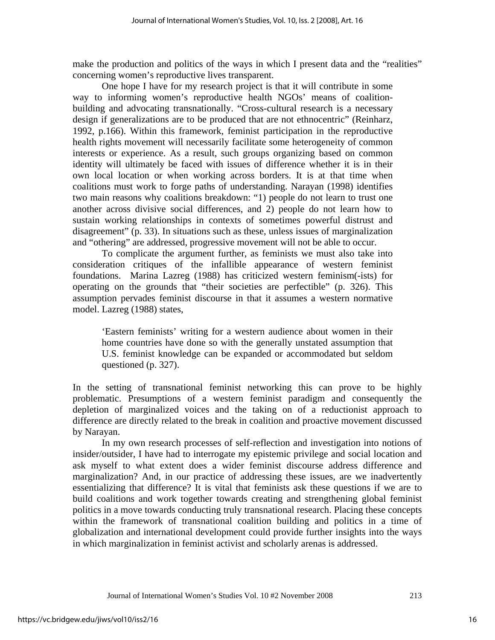make the production and politics of the ways in which I present data and the "realities" concerning women's reproductive lives transparent.

 One hope I have for my research project is that it will contribute in some way to informing women's reproductive health NGOs' means of coalitionbuilding and advocating transnationally. "Cross-cultural research is a necessary design if generalizations are to be produced that are not ethnocentric" (Reinharz, 1992, p.166). Within this framework, feminist participation in the reproductive health rights movement will necessarily facilitate some heterogeneity of common interests or experience. As a result, such groups organizing based on common identity will ultimately be faced with issues of difference whether it is in their own local location or when working across borders. It is at that time when coalitions must work to forge paths of understanding. Narayan (1998) identifies two main reasons why coalitions breakdown: "1) people do not learn to trust one another across divisive social differences, and 2) people do not learn how to sustain working relationships in contexts of sometimes powerful distrust and disagreement" (p. 33). In situations such as these, unless issues of marginalization and "othering" are addressed, progressive movement will not be able to occur.

 To complicate the argument further, as feminists we must also take into consideration critiques of the infallible appearance of western feminist foundations. Marina Lazreg (1988) has criticized western feminism(-ists) for operating on the grounds that "their societies are perfectible" (p. 326). This assumption pervades feminist discourse in that it assumes a western normative model. Lazreg (1988) states,

'Eastern feminists' writing for a western audience about women in their home countries have done so with the generally unstated assumption that U.S. feminist knowledge can be expanded or accommodated but seldom questioned (p. 327).

In the setting of transnational feminist networking this can prove to be highly problematic. Presumptions of a western feminist paradigm and consequently the depletion of marginalized voices and the taking on of a reductionist approach to difference are directly related to the break in coalition and proactive movement discussed by Narayan.

 In my own research processes of self-reflection and investigation into notions of insider/outsider, I have had to interrogate my epistemic privilege and social location and ask myself to what extent does a wider feminist discourse address difference and marginalization? And, in our practice of addressing these issues, are we inadvertently essentializing that difference? It is vital that feminists ask these questions if we are to build coalitions and work together towards creating and strengthening global feminist politics in a move towards conducting truly transnational research. Placing these concepts within the framework of transnational coalition building and politics in a time of globalization and international development could provide further insights into the ways in which marginalization in feminist activist and scholarly arenas is addressed.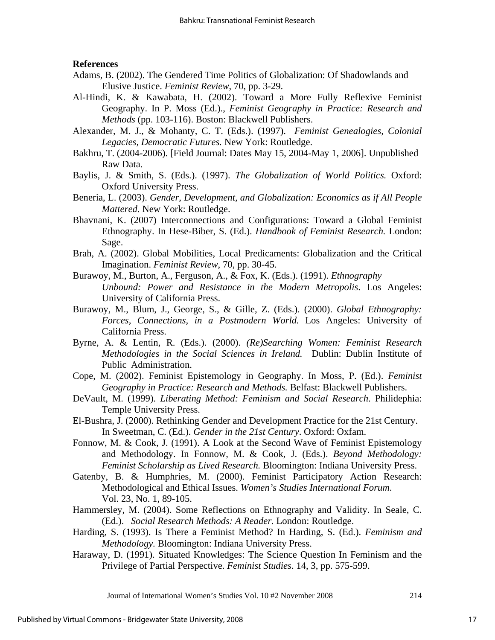#### **References**

- Adams, B. (2002). The Gendered Time Politics of Globalization: Of Shadowlands and Elusive Justice. *Feminist Review*, 70, pp. 3-29.
- Al-Hindi, K. & Kawabata, H. (2002). Toward a More Fully Reflexive Feminist Geography. In P. Moss (Ed.)., *Feminist Geography in Practice: Research and Methods* (pp. 103-116). Boston: Blackwell Publishers.
- Alexander, M. J., & Mohanty, C. T. (Eds.). (1997). *Feminist Genealogies, Colonial Legacies, Democratic Futures.* New York: Routledge.
- Bakhru, T. (2004-2006). [Field Journal: Dates May 15, 2004-May 1, 2006]. Unpublished Raw Data.
- Baylis, J. & Smith, S. (Eds.). (1997). *The Globalization of World Politics.* Oxford: Oxford University Press.
- Beneria, L. (2003). *Gender, Development, and Globalization: Economics as if All People Mattered.* New York: Routledge.
- Bhavnani, K. (2007) Interconnections and Configurations: Toward a Global Feminist Ethnography. In Hese-Biber, S. (Ed.). *Handbook of Feminist Research.* London: Sage.
- Brah, A. (2002). Global Mobilities, Local Predicaments: Globalization and the Critical Imagination. *Feminist Review*, 70, pp. 30-45.
- Burawoy, M., Burton, A., Ferguson, A., & Fox, K. (Eds.). (1991). *Ethnography Unbound: Power and Resistance in the Modern Metropolis*. Los Angeles: University of California Press.
- Burawoy, M., Blum, J., George, S., & Gille, Z. (Eds.). (2000). *Global Ethnography: Forces, Connections, in a Postmodern World.* Los Angeles: University of California Press.
- Byrne, A. & Lentin, R. (Eds.). (2000). *(Re)Searching Women: Feminist Research Methodologies in the Social Sciences in Ireland.* Dublin: Dublin Institute of Public Administration.
- Cope, M. (2002). Feminist Epistemology in Geography. In Moss, P. (Ed.). *Feminist Geography in Practice: Research and Methods.* Belfast: Blackwell Publishers.
- DeVault, M. (1999). *Liberating Method: Feminism and Social Research*. Philidephia: Temple University Press.
- El-Bushra, J. (2000). Rethinking Gender and Development Practice for the 21st Century. In Sweetman, C. (Ed.). *Gender in the 21st Century*. Oxford: Oxfam.
- Fonnow, M. & Cook, J. (1991). A Look at the Second Wave of Feminist Epistemology and Methodology. In Fonnow, M. & Cook, J. (Eds.). *Beyond Methodology: Feminist Scholarship as Lived Research.* Bloomington: Indiana University Press.
- Gatenby, B. & Humphries, M. (2000). Feminist Participatory Action Research: Methodological and Ethical Issues. *Women's Studies International Forum*. Vol. 23, No. 1, 89-105.
- Hammersley, M. (2004). Some Reflections on Ethnography and Validity. In Seale, C. (Ed.). *Social Research Methods: A Reader.* London: Routledge.
- Harding, S. (1993). Is There a Feminist Method? In Harding, S. (Ed.). *Feminism and Methodology.* Bloomington: Indiana University Press.
- Haraway, D. (1991). Situated Knowledges: The Science Question In Feminism and the Privilege of Partial Perspective. *Feminist Studies*. 14, 3, pp. 575-599.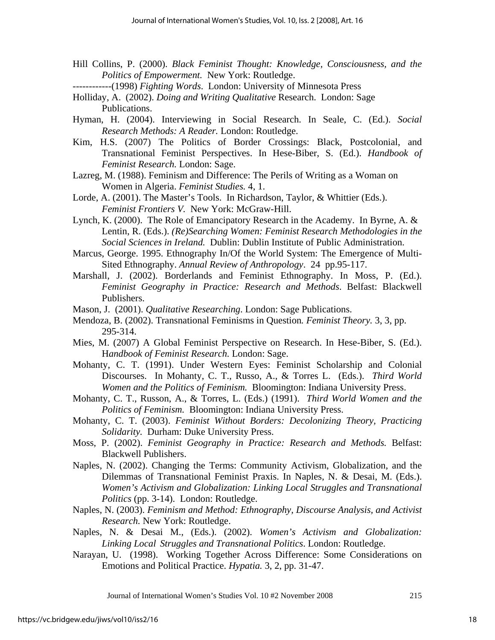- Hill Collins, P. (2000). *Black Feminist Thought: Knowledge, Consciousness, and the Politics of Empowerment.* New York: Routledge.
- ------------(1998) *Fighting Words*. London: University of Minnesota Press
- Holliday, A. (2002). *Doing and Writing Qualitative* Research. London: Sage Publications.
- Hyman, H. (2004). Interviewing in Social Research. In Seale, C. (Ed.). *Social Research Methods: A Reader.* London: Routledge.
- Kim, H.S. (2007) The Politics of Border Crossings: Black, Postcolonial, and Transnational Feminist Perspectives. In Hese-Biber, S. (Ed.). *Handbook of Feminist Research.* London: Sage.
- Lazreg, M. (1988). Feminism and Difference: The Perils of Writing as a Woman on Women in Algeria. *Feminist Studies.* 4, 1.
- Lorde, A. (2001). The Master's Tools. In Richardson, Taylor, & Whittier (Eds.).  *Feminist Frontiers V.* New York: McGraw-Hill.
- Lynch, K. (2000). The Role of Emancipatory Research in the Academy. In Byrne, A. & Lentin, R. (Eds.). *(Re)Searching Women: Feminist Research Methodologies in the Social Sciences in Ireland.* Dublin: Dublin Institute of Public Administration.
- Marcus, George. 1995. Ethnography In/Of the World System: The Emergence of Multi- Sited Ethnography. *Annual Review of Anthropology*. 24 pp.95-117.
- Marshall, J. (2002). Borderlands and Feminist Ethnography. In Moss, P. (Ed.). *Feminist Geography in Practice: Research and Methods*. Belfast: Blackwell Publishers.
- Mason, J. (2001). *Qualitative Researching*. London: Sage Publications.
- Mendoza, B. (2002). Transnational Feminisms in Question*. Feminist Theory.* 3, 3, pp. 295-314.
- Mies, M. (2007) A Global Feminist Perspective on Research. In Hese-Biber, S. (Ed.). H*andbook of Feminist Research.* London: Sage.
- Mohanty, C. T. (1991). Under Western Eyes: Feminist Scholarship and Colonial Discourses. In Mohanty, C. T., Russo, A., & Torres L. (Eds.). *Third World Women and the Politics of Feminism.* Bloomington: Indiana University Press.
- Mohanty, C. T., Russon, A., & Torres, L. (Eds.) (1991). *Third World Women and the Politics of Feminism.* Bloomington: Indiana University Press.
- Mohanty, C. T. (2003). *Feminist Without Borders: Decolonizing Theory, Practicing Solidarity.* Durham: Duke University Press.
- Moss, P. (2002). *Feminist Geography in Practice: Research and Methods.* Belfast: Blackwell Publishers.
- Naples, N. (2002). Changing the Terms: Community Activism, Globalization, and the Dilemmas of Transnational Feminist Praxis. In Naples, N. & Desai, M. (Eds.). *Women's Activism and Globalization: Linking Local Struggles and Transnational Politics* (pp. 3-14). London: Routledge.
- Naples, N. (2003). *Feminism and Method: Ethnography, Discourse Analysis, and Activist Research.* New York: Routledge.
- Naples, N. & Desai M., (Eds.). (2002). *Women's Activism and Globalization: Linking Local Struggles and Transnational Politics*. London: Routledge.
- Narayan, U. (1998). Working Together Across Difference: Some Considerations on Emotions and Political Practice. *Hypatia.* 3, 2, pp. 31-47.